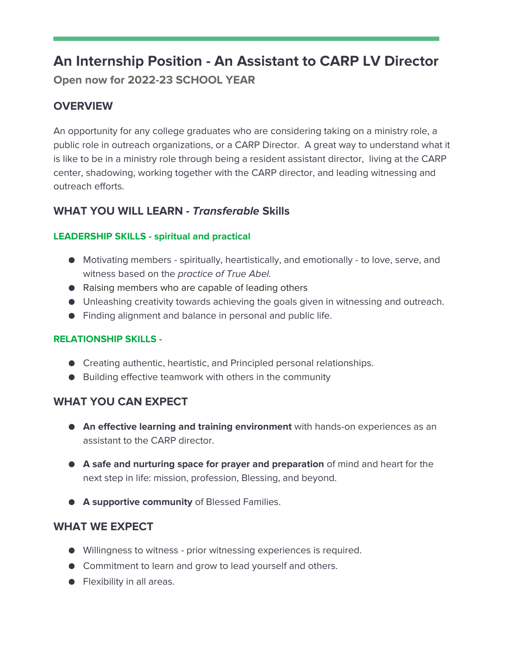# **An Internship Position - An Assistant to CARP LV Director Open now for 2022-23 SCHOOL YEAR**

## **OVERVIEW**

An opportunity for any college graduates who are considering taking on a ministry role, a public role in outreach organizations, or a CARP Director. A great way to understand what it is like to be in a ministry role through being a resident assistant director, living at the CARP center, shadowing, working together with the CARP director, and leading witnessing and outreach efforts.

## **WHAT YOU WILL LEARN -** *Transferable* **Skills**

#### **LEADERSHIP SKILLS - spiritual and practical**

- Motivating members spiritually, heartistically, and emotionally to love, serve, and witness based on the *practice of True Abel.*
- Raising members who are capable of leading others
- Unleashing creativity towards achieving the goals given in witnessing and outreach.
- Finding alignment and balance in personal and public life.

#### **RELATIONSHIP SKILLS -**

- Creating authentic, heartistic, and Principled personal relationships.
- Building effective teamwork with others in the community

## **WHAT YOU CAN EXPECT**

- **An effective learning and training environment** with hands-on experiences as an assistant to the CARP director.
- **A safe and nurturing space for prayer and preparation** of mind and heart for the next step in life: mission, profession, Blessing, and beyond.
- **A supportive community** of Blessed Families.

## **WHAT WE EXPECT**

- Willingness to witness prior witnessing experiences is required.
- Commitment to learn and grow to lead yourself and others.
- Flexibility in all areas.